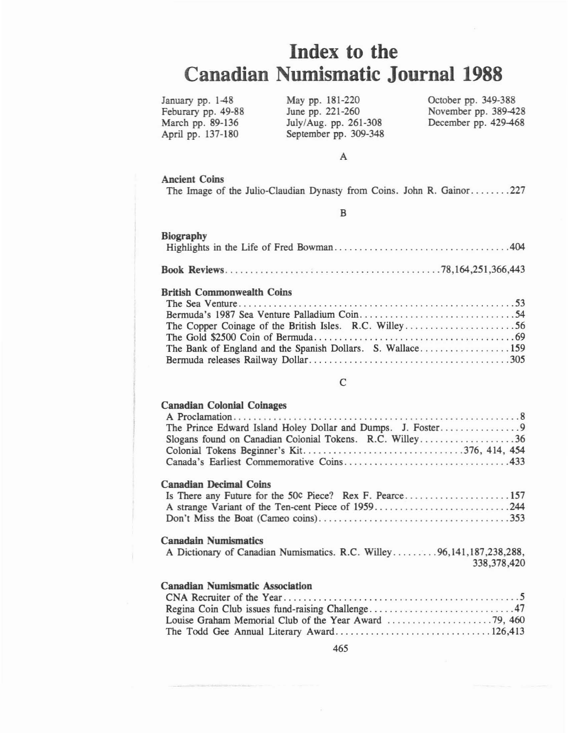# **Index to the Canadian Numismatic** Journal 1988

January pp. 1-48 Feburary pp. 49-88 March pp. 89-136 April pp. 137-180

May pp. 181-220 June pp. 221-260 July/Aug. pp. 261-308 September pp. 309-348 October pp. 349-388 November pp. 389-428 December pp. 429-468

#### A

# Ancient Coins

The Image of the Julio-Claudian Dynasty from Coins. John R. Gainor .......227

B

| <b>Biography</b>                  |
|-----------------------------------|
|                                   |
| <b>British Commonwealth Coins</b> |
|                                   |
|                                   |
|                                   |
|                                   |
|                                   |
|                                   |

## $\mathcal{C}$

## Canadian Colonial Coinages

| Cette Giess Concilier Comes Co                           |
|----------------------------------------------------------|
|                                                          |
|                                                          |
| Slogans found on Canadian Colonial Tokens. R.C. Willey36 |
|                                                          |
|                                                          |

## Canadian Decimal Coins

#### Canadaln Numismatics

|  |  | A Dictionary of Canadian Numismatics. R.C. Willey96,141,187,238,288, |  |             |
|--|--|----------------------------------------------------------------------|--|-------------|
|  |  |                                                                      |  | 338,378,420 |

# Canadian Numismatic Association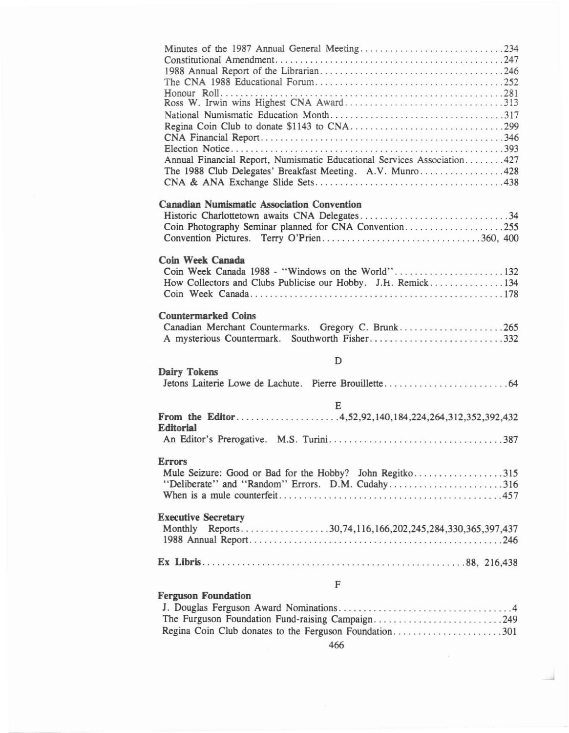| Annual Financial Report, Numismatic Educational Services Association427<br>The 1988 Club Delegates' Breakfast Meeting. A.V. Munro428                      |
|-----------------------------------------------------------------------------------------------------------------------------------------------------------|
| <b>Canadian Numismatic Association Convention</b><br>Coin Photography Seminar planned for CNA Convention255<br>Convention Pictures. Terry O'Prien360, 400 |
| Coin Week Canada<br>How Collectors and Clubs Publicise our Hobby. J.H. Remick134                                                                          |
| <b>Countermarked Coins</b><br>Canadian Merchant Countermarks. Gregory C. Brunk265                                                                         |
| D                                                                                                                                                         |
| Dairy Tokens                                                                                                                                              |
| E<br><b>Editorial</b>                                                                                                                                     |
|                                                                                                                                                           |
| <b>Errors</b><br>Mule Seizure: Good or Bad for the Hobby? John Regitko315<br>"Deliberate" and "Random" Errors. D.M. Cudahy316                             |
| <b>Executive Secretary</b>                                                                                                                                |
|                                                                                                                                                           |
| F                                                                                                                                                         |
| <b>Ferguson Foundation</b><br>The Furguson Foundation Fund-raising Campaign249                                                                            |

Regina Coin Club donates to the Ferguson Foundation.........................301 466

..J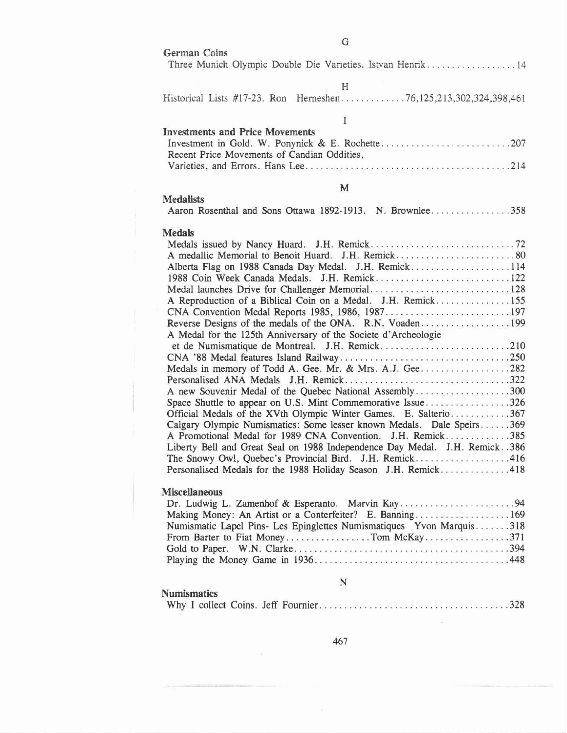| G                                                                                                                                                                                                                                                                                                                                                                                                                                                                                                                                                                                                                                                                                                                                                                                                                                                                                                                                        |
|------------------------------------------------------------------------------------------------------------------------------------------------------------------------------------------------------------------------------------------------------------------------------------------------------------------------------------------------------------------------------------------------------------------------------------------------------------------------------------------------------------------------------------------------------------------------------------------------------------------------------------------------------------------------------------------------------------------------------------------------------------------------------------------------------------------------------------------------------------------------------------------------------------------------------------------|
| German Coins<br>Three Munich Olympic Double Die Varieties. Istvan Henrik14                                                                                                                                                                                                                                                                                                                                                                                                                                                                                                                                                                                                                                                                                                                                                                                                                                                               |
| H<br>Historical Lists #17-23. Ron Herneshen76,125,213,302,324,398,461                                                                                                                                                                                                                                                                                                                                                                                                                                                                                                                                                                                                                                                                                                                                                                                                                                                                    |
| $\mathbf I$                                                                                                                                                                                                                                                                                                                                                                                                                                                                                                                                                                                                                                                                                                                                                                                                                                                                                                                              |
| <b>Investments and Price Movements</b><br>Recent Price Movements of Candian Oddities,                                                                                                                                                                                                                                                                                                                                                                                                                                                                                                                                                                                                                                                                                                                                                                                                                                                    |
| M                                                                                                                                                                                                                                                                                                                                                                                                                                                                                                                                                                                                                                                                                                                                                                                                                                                                                                                                        |
| <b>Medalists</b><br>Aaron Rosenthal and Sons Ottawa 1892-1913. N. Brownlee358                                                                                                                                                                                                                                                                                                                                                                                                                                                                                                                                                                                                                                                                                                                                                                                                                                                            |
| <b>Medals</b><br>Alberta Flag on 1988 Canada Day Medal. J.H. Remick114<br>A Reproduction of a Biblical Coin on a Medal. J.H. Remick155<br>CNA Convention Medal Reports 1985, 1986, 1987197<br>Reverse Designs of the medals of the ONA. R.N. Voaden199<br>A Medal for the 125th Anniversary of the Societe d'Archeologie<br>Medals in memory of Todd A. Gee. Mr. & Mrs. A.J. Gee282<br>A new Souvenir Medal of the Quebec National Assembly300<br>Space Shuttle to appear on U.S. Mint Commemorative Issue326<br>Official Medals of the XVth Olympic Winter Games. E. Salterio367<br>Calgary Olympic Numismatics: Some lesser known Medals. Dale Speirs369<br>A Promotional Medal for 1989 CNA Convention. J.H. Remick385<br>Liberty Bell and Great Seal on 1988 Independence Day Medal. J.H. Remick. . 386<br>The Snowy Owl, Quebec's Provincial Bird. J.H. Remick416<br>Personalised Medals for the 1988 Holiday Season J.H. Remick418 |
| <b>Miscellaneous</b><br>Making Money: An Artist or a Conterfeiter? E. Banning169<br>Numismatic Lapel Pins- Les Epinglettes Numismatiques Yvon Marquis318                                                                                                                                                                                                                                                                                                                                                                                                                                                                                                                                                                                                                                                                                                                                                                                 |

## Numismatics

|--|--|--|--|--|--|

N

Playing the Money Game in 1936 448

467